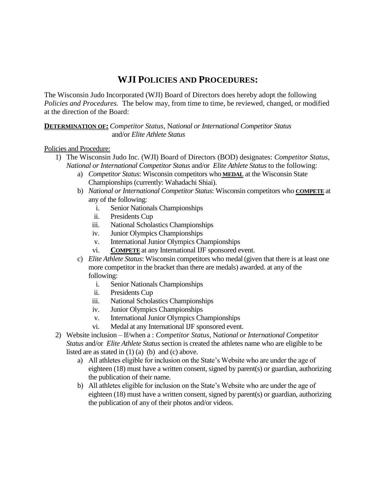## **WJI POLICIES AND PROCEDURES:**

The Wisconsin Judo Incorporated (WJI) Board of Directors does hereby adopt the following *Policies and Procedures.* The below may, from time to time, be reviewed, changed, or modified at the direction of the Board:

**DETERMINATION OF:** *Competitor Status*, N*ational or International Competitor Status* and/or *Elite Athlete Status*

## Policies and Procedure:

- 1) The Wisconsin Judo Inc. (WJI) Board of Directors (BOD) designates: *Competitor Status*, *National or International Competitor Status* and/or *Elite Athlete Status* to the following:
	- a) *Competitor Status*: Wisconsin competitors who **MEDAL** at the Wisconsin State Championships (currently: Wahadachi Shiai).
	- b) *National or International Competitor Status*: Wisconsin competitors who **COMPETE** at any of the following:
		- i. Senior Nationals Championships
		- ii. Presidents Cup
		- iii. National Scholastics Championships
		- iv. Junior Olympics Championships
		- v. International Junior Olympics Championships
		- vi. **COMPETE** at any International IJF sponsored event.
	- c) *Elite Athlete Status*: Wisconsin competitors who medal(given that there is at least one more competitor in the bracket than there are medals) awarded. at any of the following:
		- i. Senior Nationals Championships
		- ii. Presidents Cup
		- iii. National Scholastics Championships
		- iv. Junior Olympics Championships
		- v. International Junior Olympics Championships
		- vi. Medal at any International IJF sponsored event.
- 2) Website inclusion If/when a : *Competitor Status*, N*ational or International Competitor Status* and/or *Elite Athlete Status* section is created the athletes name who are eligible to be listed are as stated in  $(1)$   $(a)$   $(b)$  and  $(c)$  above.
	- a) All athletes eligible for inclusion on the State's Website who are under the age of eighteen (18) must have a written consent, signed by parent(s) or guardian, authorizing the publication of their name.
	- b) All athletes eligible for inclusion on the State's Website who are under the age of eighteen (18) must have a written consent, signed by parent(s) or guardian, authorizing the publication of any of their photos and/or videos.